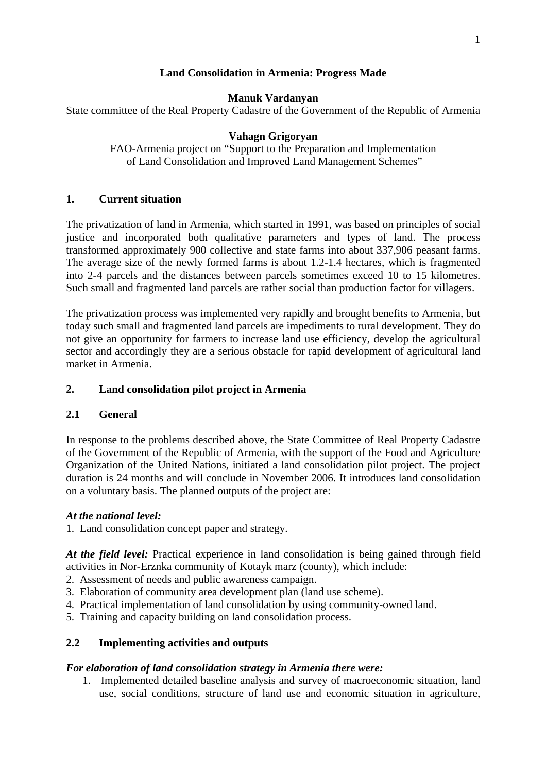# **Land Consolidation in Armenia: Progress Made**

### **Manuk Vardanyan**

State committee of the Real Property Cadastre of the Government of the Republic of Armenia

### **Vahagn Grigoryan**

FAO-Armenia project on "Support to the Preparation and Implementation of Land Consolidation and Improved Land Management Schemes"

### **1. Current situation**

The privatization of land in Armenia, which started in 1991, was based on principles of social justice and incorporated both qualitative parameters and types of land. The process transformed approximately 900 collective and state farms into about 337,906 peasant farms. The average size of the newly formed farms is about 1.2-1.4 hectares, which is fragmented into 2-4 parcels and the distances between parcels sometimes exceed 10 to 15 kilometres. Such small and fragmented land parcels are rather social than production factor for villagers.

The privatization process was implemented very rapidly and brought benefits to Armenia, but today such small and fragmented land parcels are impediments to rural development. They do not give an opportunity for farmers to increase land use efficiency, develop the agricultural sector and accordingly they are a serious obstacle for rapid development of agricultural land market in Armenia.

### **2. Land consolidation pilot project in Armenia**

#### **2.1 General**

In response to the problems described above, the State Committee of Real Property Cadastre of the Government of the Republic of Armenia, with the support of the Food and Agriculture Organization of the United Nations, initiated a land consolidation pilot project. The project duration is 24 months and will conclude in November 2006. It introduces land consolidation on a voluntary basis. The planned outputs of the project are:

#### *At the national level:*

1. Land consolidation concept paper and strategy.

*At the field level:* Practical experience in land consolidation is being gained through field activities in Nor-Erznka community of Kotayk marz (county), which include:

- 2. Assessment of needs and public awareness campaign.
- 3. Elaboration of community area development plan (land use scheme).
- 4. Practical implementation of land consolidation by using community-owned land.
- 5. Training and capacity building on land consolidation process.

### **2.2 Implementing activities and outputs**

#### *For elaboration of land consolidation strategy in Armenia there were:*

1. Implemented detailed baseline analysis and survey of macroeconomic situation, land use, social conditions, structure of land use and economic situation in agriculture,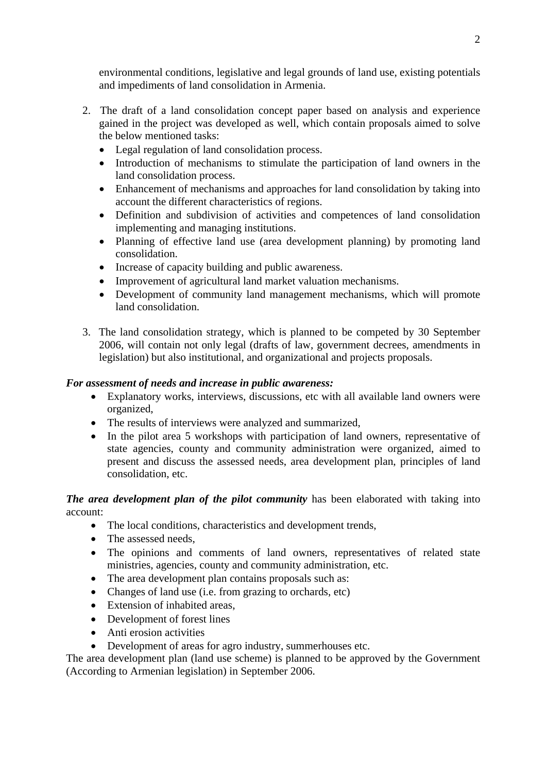environmental conditions, legislative and legal grounds of land use, existing potentials and impediments of land consolidation in Armenia.

- 2. The draft of a land consolidation concept paper based on analysis and experience gained in the project was developed as well, which contain proposals aimed to solve the below mentioned tasks:
	- Legal regulation of land consolidation process.
	- Introduction of mechanisms to stimulate the participation of land owners in the land consolidation process.
	- Enhancement of mechanisms and approaches for land consolidation by taking into account the different characteristics of regions.
	- Definition and subdivision of activities and competences of land consolidation implementing and managing institutions.
	- Planning of effective land use (area development planning) by promoting land consolidation.
	- Increase of capacity building and public awareness.
	- Improvement of agricultural land market valuation mechanisms.
	- Development of community land management mechanisms, which will promote land consolidation.
- 3. The land consolidation strategy, which is planned to be competed by 30 September 2006, will contain not only legal (drafts of law, government decrees, amendments in legislation) but also institutional, and organizational and projects proposals.

## *For assessment of needs and increase in public awareness:*

- Explanatory works, interviews, discussions, etc with all available land owners were organized,
- The results of interviews were analyzed and summarized,
- In the pilot area 5 workshops with participation of land owners, representative of state agencies, county and community administration were organized, aimed to present and discuss the assessed needs, area development plan, principles of land consolidation, etc.

# *The area development plan of the pilot community* has been elaborated with taking into account:

- The local conditions, characteristics and development trends,
- The assessed needs
- The opinions and comments of land owners, representatives of related state ministries, agencies, county and community administration, etc.
- The area development plan contains proposals such as:
- Changes of land use (i.e. from grazing to orchards, etc)
- Extension of inhabited areas,
- Development of forest lines
- Anti erosion activities
- Development of areas for agro industry, summerhouses etc.

The area development plan (land use scheme) is planned to be approved by the Government (According to Armenian legislation) in September 2006.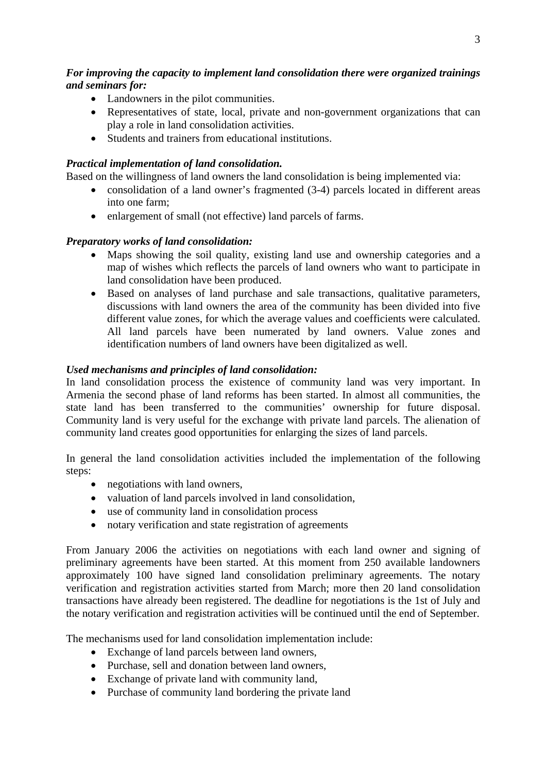# *For improving the capacity to implement land consolidation there were organized trainings and seminars for:*

- Landowners in the pilot communities.
- Representatives of state, local, private and non-government organizations that can play a role in land consolidation activities.
- Students and trainers from educational institutions.

# *Practical implementation of land consolidation.*

Based on the willingness of land owners the land consolidation is being implemented via:

- consolidation of a land owner's fragmented (3-4) parcels located in different areas into one farm;
- enlargement of small (not effective) land parcels of farms.

# *Preparatory works of land consolidation:*

- Maps showing the soil quality, existing land use and ownership categories and a map of wishes which reflects the parcels of land owners who want to participate in land consolidation have been produced.
- Based on analyses of land purchase and sale transactions, qualitative parameters, discussions with land owners the area of the community has been divided into five different value zones, for which the average values and coefficients were calculated. All land parcels have been numerated by land owners. Value zones and identification numbers of land owners have been digitalized as well.

# *Used mechanisms and principles of land consolidation:*

In land consolidation process the existence of community land was very important. In Armenia the second phase of land reforms has been started. In almost all communities, the state land has been transferred to the communities' ownership for future disposal. Community land is very useful for the exchange with private land parcels. The alienation of community land creates good opportunities for enlarging the sizes of land parcels.

In general the land consolidation activities included the implementation of the following steps:

- negotiations with land owners,
- valuation of land parcels involved in land consolidation.
- use of community land in consolidation process
- notary verification and state registration of agreements

From January 2006 the activities on negotiations with each land owner and signing of preliminary agreements have been started. At this moment from 250 available landowners approximately 100 have signed land consolidation preliminary agreements. The notary verification and registration activities started from March; more then 20 land consolidation transactions have already been registered. The deadline for negotiations is the 1st of July and the notary verification and registration activities will be continued until the end of September.

The mechanisms used for land consolidation implementation include:

- Exchange of land parcels between land owners,
- Purchase, sell and donation between land owners,
- Exchange of private land with community land,
- Purchase of community land bordering the private land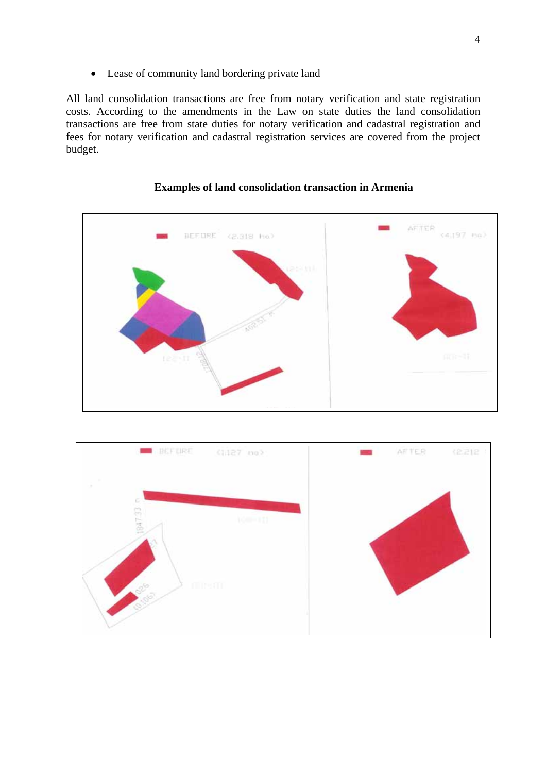• Lease of community land bordering private land

All land consolidation transactions are free from notary verification and state registration costs. According to the amendments in the Law on state duties the land consolidation transactions are free from state duties for notary verification and cadastral registration and fees for notary verification and cadastral registration services are covered from the project budget.



## **Examples of land consolidation transaction in Armenia**